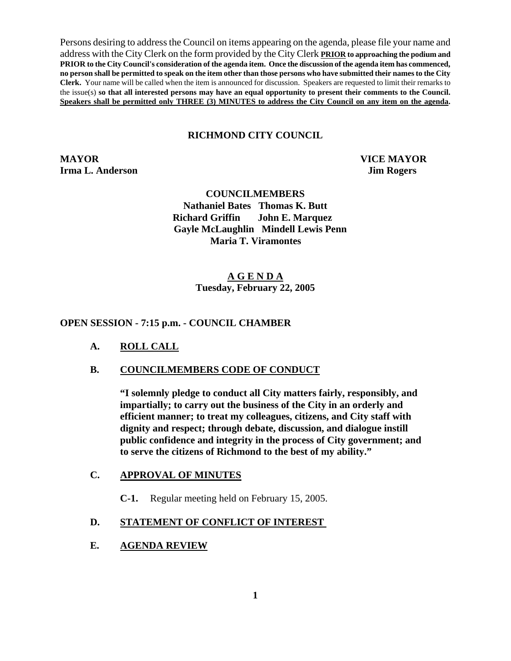Persons desiring to address the Council on items appearing on the agenda, please file your name and address with the City Clerk on the form provided by the City Clerk **PRIOR to approaching the podium and PRIOR to the City Council's consideration of the agenda item. Once the discussion of the agenda item has commenced, no person shall be permitted to speak on the item other than those persons who have submitted their names to the City Clerk.** Your name will be called when the item is announced for discussion. Speakers are requested to limit their remarks to the issue(s) **so that all interested persons may have an equal opportunity to present their comments to the Council. Speakers shall be permitted only THREE (3) MINUTES to address the City Council on any item on the agenda.**

## **RICHMOND CITY COUNCIL**

**MAYOR VICE MAYOR Irma L. Anderson** Jim Rogers

#### **COUNCILMEMBERS**

**Nathaniel Bates Thomas K. Butt Richard Griffin John E. Marquez Gayle McLaughlin Mindell Lewis Penn Maria T. Viramontes** 

## **A G E N D A Tuesday, February 22, 2005**

#### **OPEN SESSION - 7:15 p.m. - COUNCIL CHAMBER**

- **A. ROLL CALL**
- **B. COUNCILMEMBERS CODE OF CONDUCT**

**"I solemnly pledge to conduct all City matters fairly, responsibly, and impartially; to carry out the business of the City in an orderly and efficient manner; to treat my colleagues, citizens, and City staff with dignity and respect; through debate, discussion, and dialogue instill public confidence and integrity in the process of City government; and to serve the citizens of Richmond to the best of my ability."** 

## **C. APPROVAL OF MINUTES**

**C-1.** Regular meeting held on February 15, 2005.

## **D. STATEMENT OF CONFLICT OF INTEREST**

### **E. AGENDA REVIEW**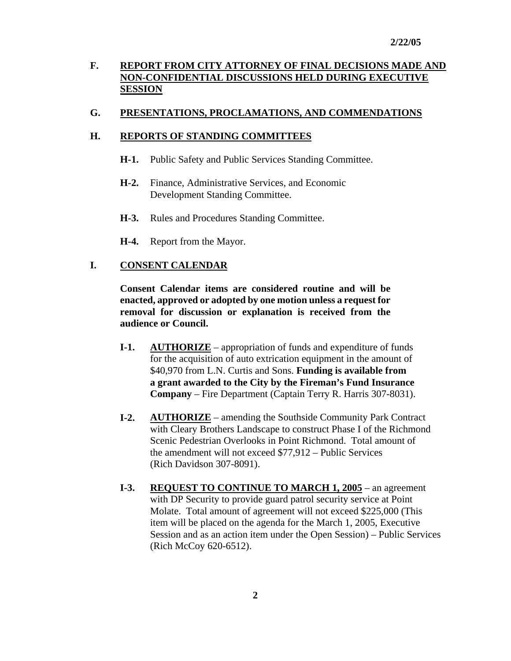# **F. REPORT FROM CITY ATTORNEY OF FINAL DECISIONS MADE AND NON-CONFIDENTIAL DISCUSSIONS HELD DURING EXECUTIVE SESSION**

## **G. PRESENTATIONS, PROCLAMATIONS, AND COMMENDATIONS**

## **H. REPORTS OF STANDING COMMITTEES**

- **H-1.** Public Safety and Public Services Standing Committee.
- **H-2.** Finance, Administrative Services, and Economic Development Standing Committee.
- **H-3.** Rules and Procedures Standing Committee.
- **H-4.** Report from the Mayor.

## **I. CONSENT CALENDAR**

**Consent Calendar items are considered routine and will be enacted, approved or adopted by one motion unless a request for removal for discussion or explanation is received from the audience or Council.** 

- **I-1. AUTHORIZE** appropriation of funds and expenditure of funds for the acquisition of auto extrication equipment in the amount of \$40,970 from L.N. Curtis and Sons. **Funding is available from a grant awarded to the City by the Fireman's Fund Insurance Company** – Fire Department (Captain Terry R. Harris 307-8031).
- **I-2. AUTHORIZE** amending the Southside Community Park Contract with Cleary Brothers Landscape to construct Phase I of the Richmond Scenic Pedestrian Overlooks in Point Richmond. Total amount of the amendment will not exceed \$77,912 – Public Services (Rich Davidson 307-8091).
- **I-3. REQUEST TO CONTINUE TO MARCH 1, 2005** an agreement with DP Security to provide guard patrol security service at Point Molate. Total amount of agreement will not exceed \$225,000 (This item will be placed on the agenda for the March 1, 2005, Executive Session and as an action item under the Open Session) – Public Services (Rich McCoy 620-6512).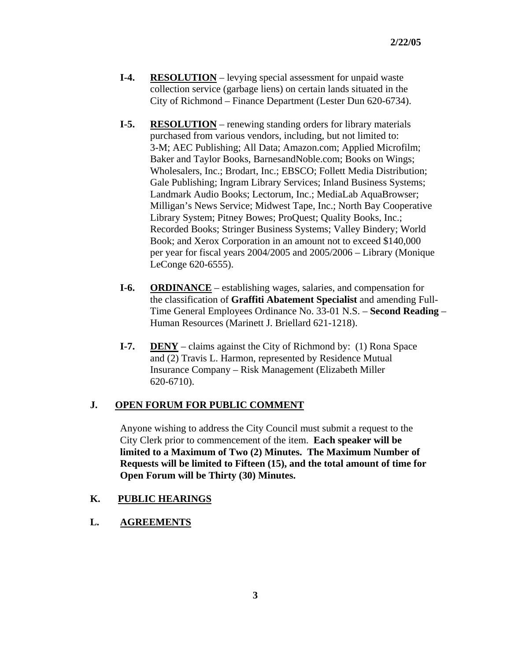- **I-4.** RESOLUTION levying special assessment for unpaid waste collection service (garbage liens) on certain lands situated in the City of Richmond – Finance Department (Lester Dun 620-6734).
- **I-5. RESOLUTION** renewing standing orders for library materials purchased from various vendors, including, but not limited to: 3-M; AEC Publishing; All Data; Amazon.com; Applied Microfilm; Baker and Taylor Books, BarnesandNoble.com; Books on Wings; Wholesalers, Inc.; Brodart, Inc.; EBSCO; Follett Media Distribution; Gale Publishing; Ingram Library Services; Inland Business Systems; Landmark Audio Books; Lectorum, Inc.; MediaLab AquaBrowser; Milligan's News Service; Midwest Tape, Inc.; North Bay Cooperative Library System; Pitney Bowes; ProQuest; Quality Books, Inc.; Recorded Books; Stringer Business Systems; Valley Bindery; World Book; and Xerox Corporation in an amount not to exceed \$140,000 per year for fiscal years 2004/2005 and 2005/2006 – Library (Monique LeConge 620-6555).
- **I-6. ORDINANCE** establishing wages, salaries, and compensation for the classification of **Graffiti Abatement Specialist** and amending Full- Time General Employees Ordinance No. 33-01 N.S. – **Second Reading** – Human Resources (Marinett J. Briellard 621-1218).
- **I-7. DENY** claims against the City of Richmond by: (1) Rona Space and (2) Travis L. Harmon, represented by Residence Mutual Insurance Company – Risk Management (Elizabeth Miller 620-6710).

## **J. OPEN FORUM FOR PUBLIC COMMENT**

Anyone wishing to address the City Council must submit a request to the City Clerk prior to commencement of the item. **Each speaker will be limited to a Maximum of Two (2) Minutes. The Maximum Number of Requests will be limited to Fifteen (15), and the total amount of time for Open Forum will be Thirty (30) Minutes.** 

## **K. PUBLIC HEARINGS**

**L. AGREEMENTS**